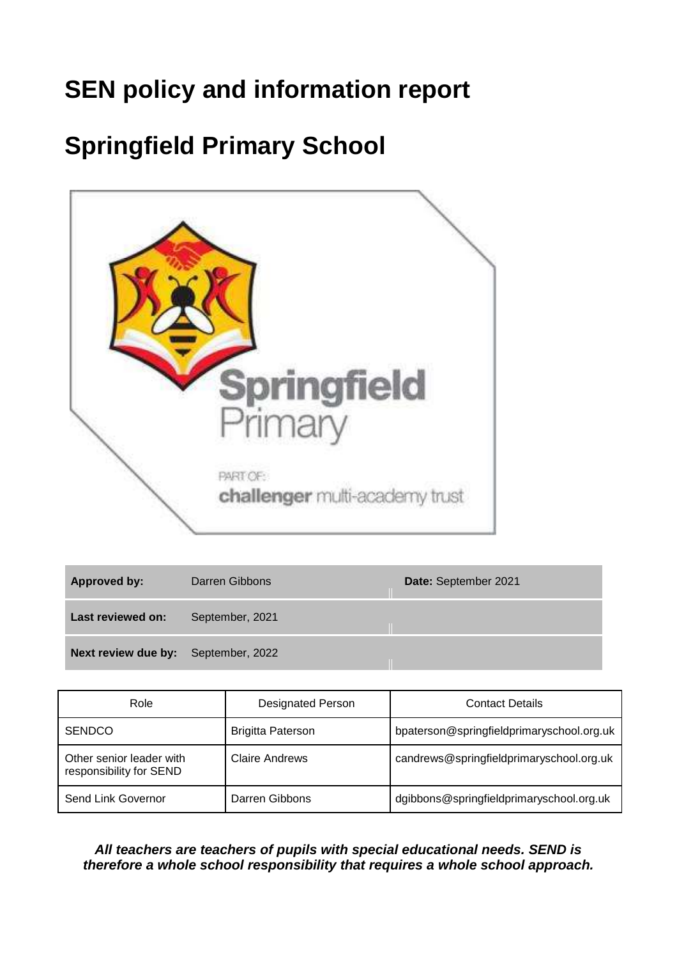# **SEN policy and information report**

# **Springfield Primary School**



| Approved by:                        | Darren Gibbons  | Date: September 2021 |
|-------------------------------------|-----------------|----------------------|
| Last reviewed on:                   | September, 2021 |                      |
| Next review due by: September, 2022 |                 |                      |

| Role                                                | <b>Designated Person</b> | <b>Contact Details</b>                    |
|-----------------------------------------------------|--------------------------|-------------------------------------------|
| <b>SENDCO</b>                                       | <b>Brigitta Paterson</b> | bpaterson@springfieldprimaryschool.org.uk |
| Other senior leader with<br>responsibility for SEND | <b>Claire Andrews</b>    | candrews@springfieldprimaryschool.org.uk  |
| Send Link Governor                                  | Darren Gibbons           | dgibbons@springfieldprimaryschool.org.uk  |

#### *All teachers are teachers of pupils with special educational needs. SEND is therefore a whole school responsibility that requires a whole school approach.*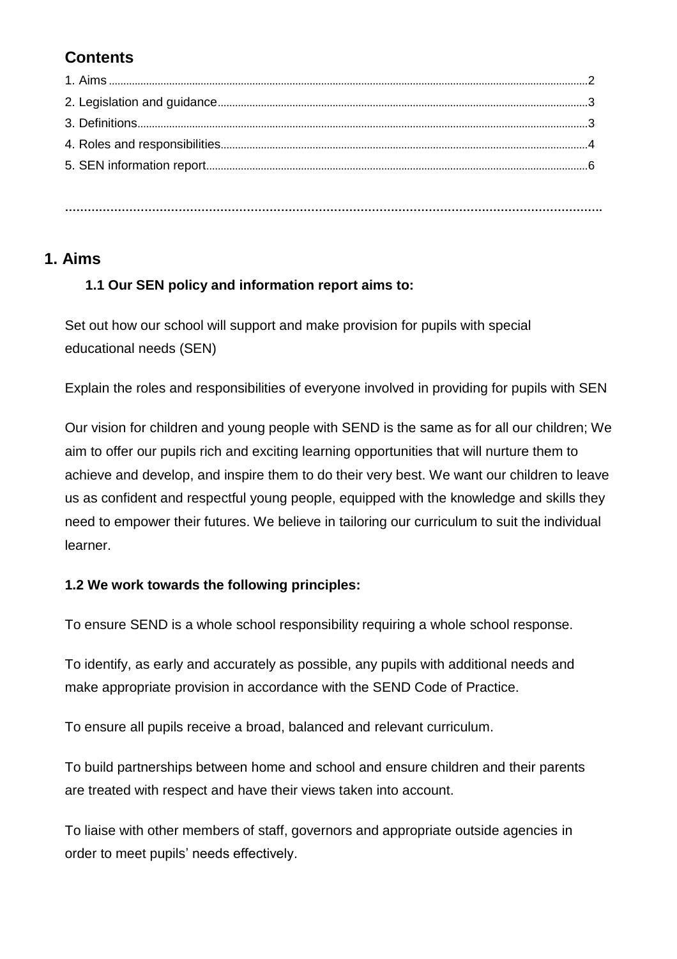# **Contents**

# **1. Aims**

# **1.1 Our SEN policy and information report aims to:**

Set out how our school will support and make provision for pupils with special educational needs (SEN)

Explain the roles and responsibilities of everyone involved in providing for pupils with SEN

Our vision for children and young people with SEND is the same as for all our children; We aim to offer our pupils rich and exciting learning opportunities that will nurture them to achieve and develop, and inspire them to do their very best. We want our children to leave us as confident and respectful young people, equipped with the knowledge and skills they need to empower their futures. We believe in tailoring our curriculum to suit the individual learner.

### **1.2 We work towards the following principles:**

To ensure SEND is a whole school responsibility requiring a whole school response.

To identify, as early and accurately as possible, any pupils with additional needs and make appropriate provision in accordance with the SEND Code of Practice.

To ensure all pupils receive a broad, balanced and relevant curriculum.

To build partnerships between home and school and ensure children and their parents are treated with respect and have their views taken into account.

To liaise with other members of staff, governors and appropriate outside agencies in order to meet pupils' needs effectively.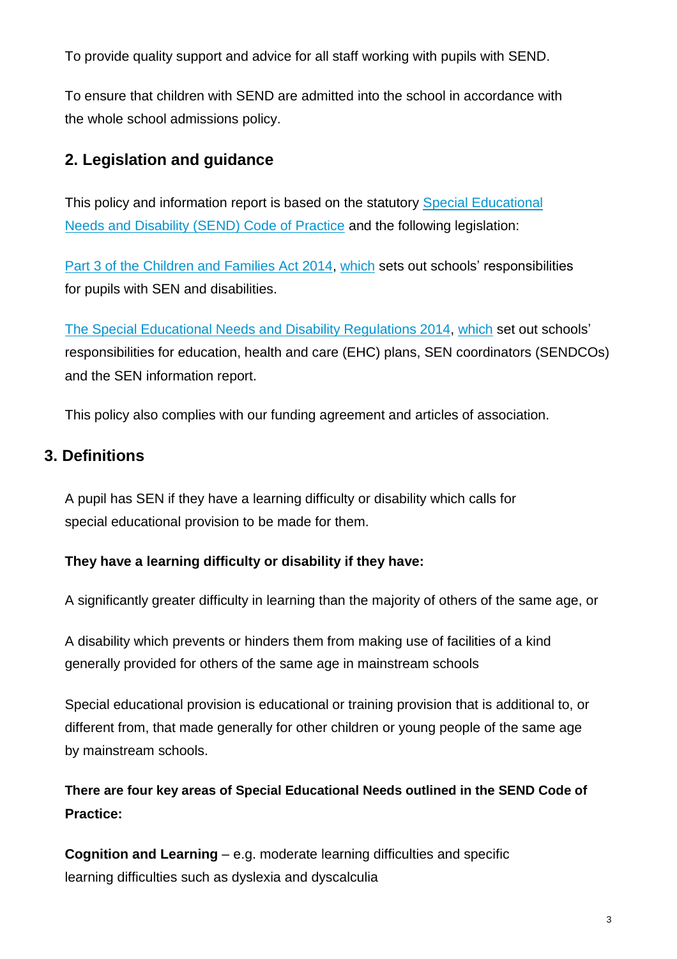To provide quality support and advice for all staff working with pupils with SEND.

To ensure that children with SEND are admitted into the school in accordance with the whole school admissions policy.

# **2. Legislation and guidance**

This policy and information report is based on the statutory [Special Educational](https://www.gov.uk/government/uploads/system/uploads/attachment_data/file/398815/SEND_Code_of_Practice_January_2015.pdf)  [Needs](https://www.gov.uk/government/uploads/system/uploads/attachment_data/file/398815/SEND_Code_of_Practice_January_2015.pdf) [and Disability \(SEND\) Code of Practice](https://www.gov.uk/government/uploads/system/uploads/attachment_data/file/398815/SEND_Code_of_Practice_January_2015.pdf) and the following legislation:

[Part 3 of the Children and Families Act 2014, w](http://www.legislation.gov.uk/ukpga/2014/6/part/3)hich sets out schools' responsibilities for pupils with SEN and disabilities.

[The Special Educational Needs and Disability Regulations 2014, w](http://www.legislation.gov.uk/uksi/2014/1530/contents/made)hich set out schools' responsibilities for education, health and care (EHC) plans, SEN coordinators (SENDCOs) and the SEN information report.

This policy also complies with our funding agreement and articles of association.

# **3. Definitions**

A pupil has SEN if they have a learning difficulty or disability which calls for special educational provision to be made for them.

### **They have a learning difficulty or disability if they have:**

A significantly greater difficulty in learning than the majority of others of the same age, or

A disability which prevents or hinders them from making use of facilities of a kind generally provided for others of the same age in mainstream schools

Special educational provision is educational or training provision that is additional to, or different from, that made generally for other children or young people of the same age by mainstream schools.

**There are four key areas of Special Educational Needs outlined in the SEND Code of Practice:**

**Cognition and Learning** – e.g. moderate learning difficulties and specific learning difficulties such as dyslexia and dyscalculia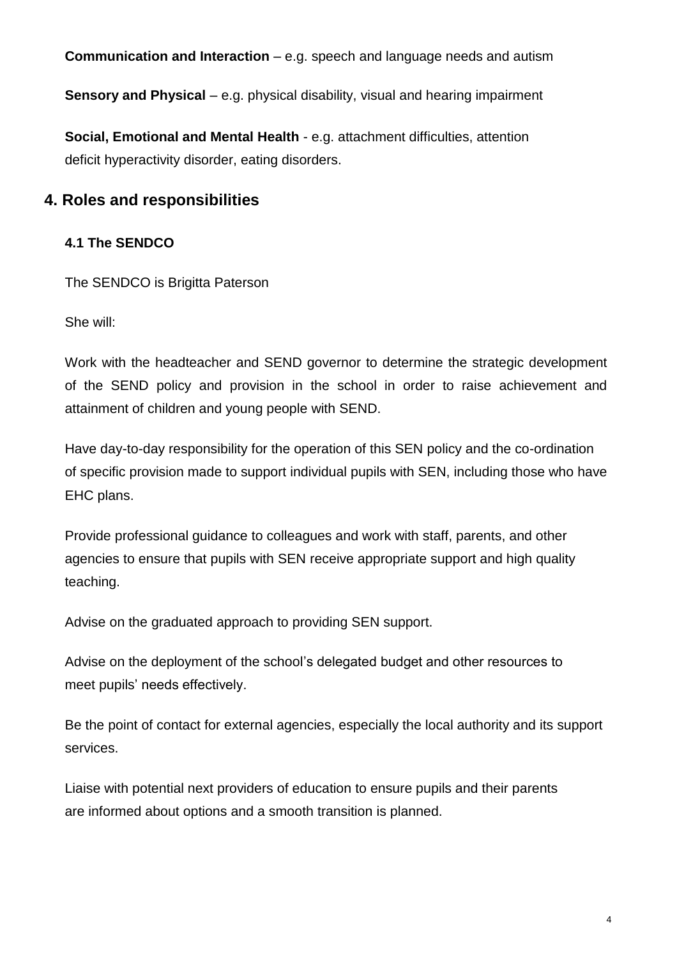**Communication and Interaction** – e.g. speech and language needs and autism

**Sensory and Physical** – e.g. physical disability, visual and hearing impairment

**Social, Emotional and Mental Health** - e.g. attachment difficulties, attention deficit hyperactivity disorder, eating disorders.

# **4. Roles and responsibilities**

# **4.1 The SENDCO**

The SENDCO is Brigitta Paterson

She will:

Work with the headteacher and SEND governor to determine the strategic development of the SEND policy and provision in the school in order to raise achievement and attainment of children and young people with SEND.

Have day-to-day responsibility for the operation of this SEN policy and the co-ordination of specific provision made to support individual pupils with SEN, including those who have EHC plans.

Provide professional guidance to colleagues and work with staff, parents, and other agencies to ensure that pupils with SEN receive appropriate support and high quality teaching.

Advise on the graduated approach to providing SEN support.

Advise on the deployment of the school's delegated budget and other resources to meet pupils' needs effectively.

Be the point of contact for external agencies, especially the local authority and its support services.

Liaise with potential next providers of education to ensure pupils and their parents are informed about options and a smooth transition is planned.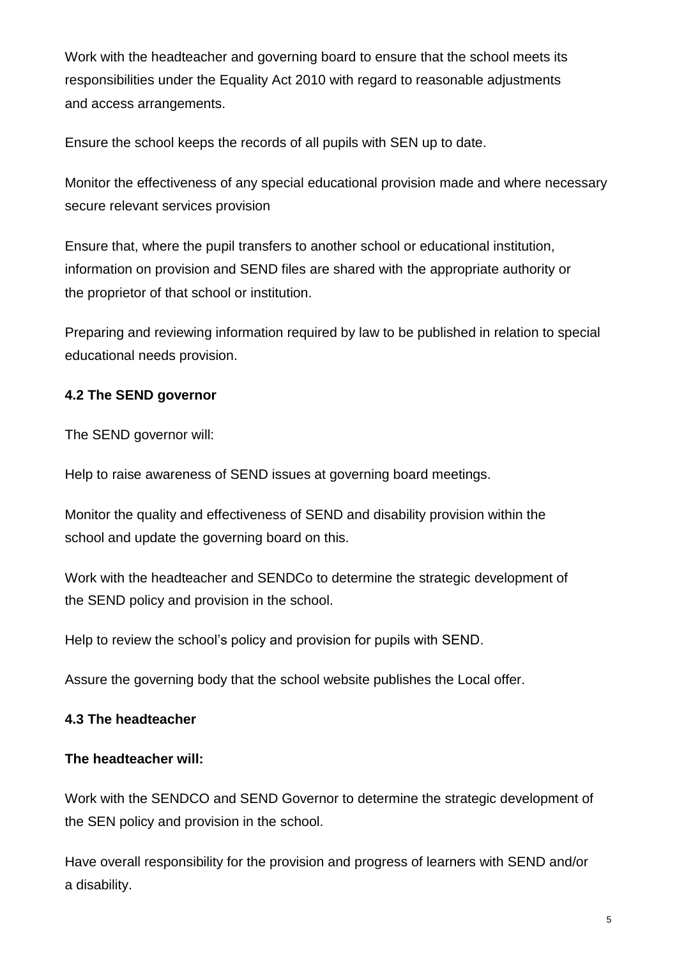Work with the headteacher and governing board to ensure that the school meets its responsibilities under the Equality Act 2010 with regard to reasonable adjustments and access arrangements.

Ensure the school keeps the records of all pupils with SEN up to date.

Monitor the effectiveness of any special educational provision made and where necessary secure relevant services provision

Ensure that, where the pupil transfers to another school or educational institution, information on provision and SEND files are shared with the appropriate authority or the proprietor of that school or institution.

Preparing and reviewing information required by law to be published in relation to special educational needs provision.

# **4.2 The SEND governor**

The SEND governor will:

Help to raise awareness of SEND issues at governing board meetings.

Monitor the quality and effectiveness of SEND and disability provision within the school and update the governing board on this.

Work with the headteacher and SENDCo to determine the strategic development of the SEND policy and provision in the school.

Help to review the school's policy and provision for pupils with SEND.

Assure the governing body that the school website publishes the Local offer.

### **4.3 The headteacher**

### **The headteacher will:**

Work with the SENDCO and SEND Governor to determine the strategic development of the SEN policy and provision in the school.

Have overall responsibility for the provision and progress of learners with SEND and/or a disability.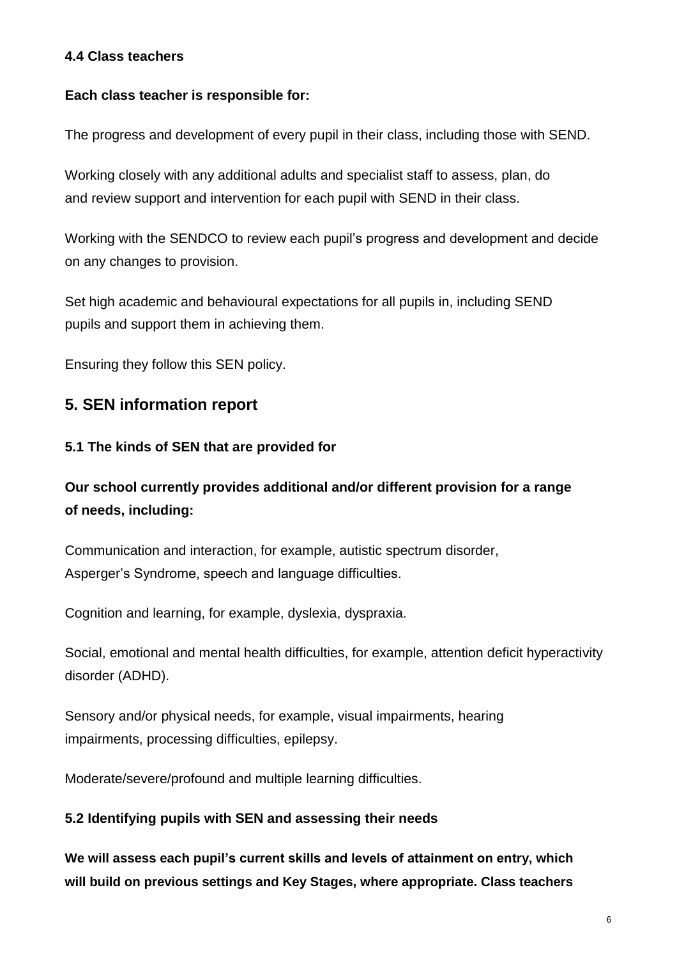## **4.4 Class teachers**

## **Each class teacher is responsible for:**

The progress and development of every pupil in their class, including those with SEND.

Working closely with any additional adults and specialist staff to assess, plan, do and review support and intervention for each pupil with SEND in their class.

Working with the SENDCO to review each pupil's progress and development and decide on any changes to provision.

Set high academic and behavioural expectations for all pupils in, including SEND pupils and support them in achieving them.

Ensuring they follow this SEN policy.

# **5. SEN information report**

## **5.1 The kinds of SEN that are provided for**

# **Our school currently provides additional and/or different provision for a range of needs, including:**

Communication and interaction, for example, autistic spectrum disorder, Asperger's Syndrome, speech and language difficulties.

Cognition and learning, for example, dyslexia, dyspraxia.

Social, emotional and mental health difficulties, for example, attention deficit hyperactivity disorder (ADHD).

Sensory and/or physical needs, for example, visual impairments, hearing impairments, processing difficulties, epilepsy.

Moderate/severe/profound and multiple learning difficulties.

# **5.2 Identifying pupils with SEN and assessing their needs**

**We will assess each pupil's current skills and levels of attainment on entry, which will build on previous settings and Key Stages, where appropriate. Class teachers**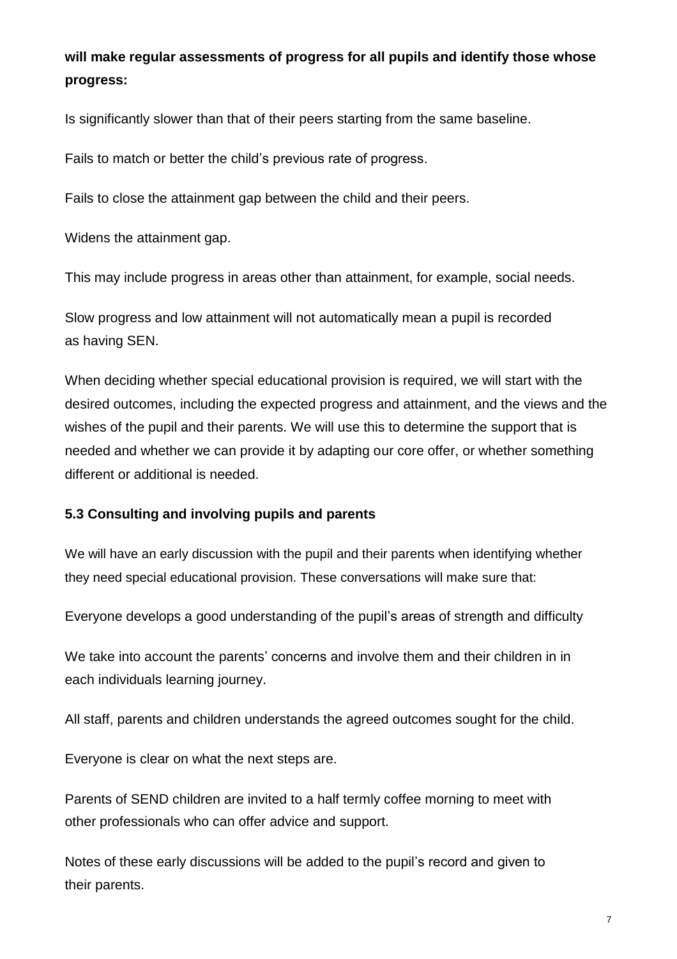# **will make regular assessments of progress for all pupils and identify those whose progress:**

Is significantly slower than that of their peers starting from the same baseline.

Fails to match or better the child's previous rate of progress.

Fails to close the attainment gap between the child and their peers.

Widens the attainment gap.

This may include progress in areas other than attainment, for example, social needs.

Slow progress and low attainment will not automatically mean a pupil is recorded as having SEN.

When deciding whether special educational provision is required, we will start with the desired outcomes, including the expected progress and attainment, and the views and the wishes of the pupil and their parents. We will use this to determine the support that is needed and whether we can provide it by adapting our core offer, or whether something different or additional is needed.

### **5.3 Consulting and involving pupils and parents**

We will have an early discussion with the pupil and their parents when identifying whether they need special educational provision. These conversations will make sure that:

Everyone develops a good understanding of the pupil's areas of strength and difficulty

We take into account the parents' concerns and involve them and their children in in each individuals learning journey.

All staff, parents and children understands the agreed outcomes sought for the child.

Everyone is clear on what the next steps are.

Parents of SEND children are invited to a half termly coffee morning to meet with other professionals who can offer advice and support.

Notes of these early discussions will be added to the pupil's record and given to their parents.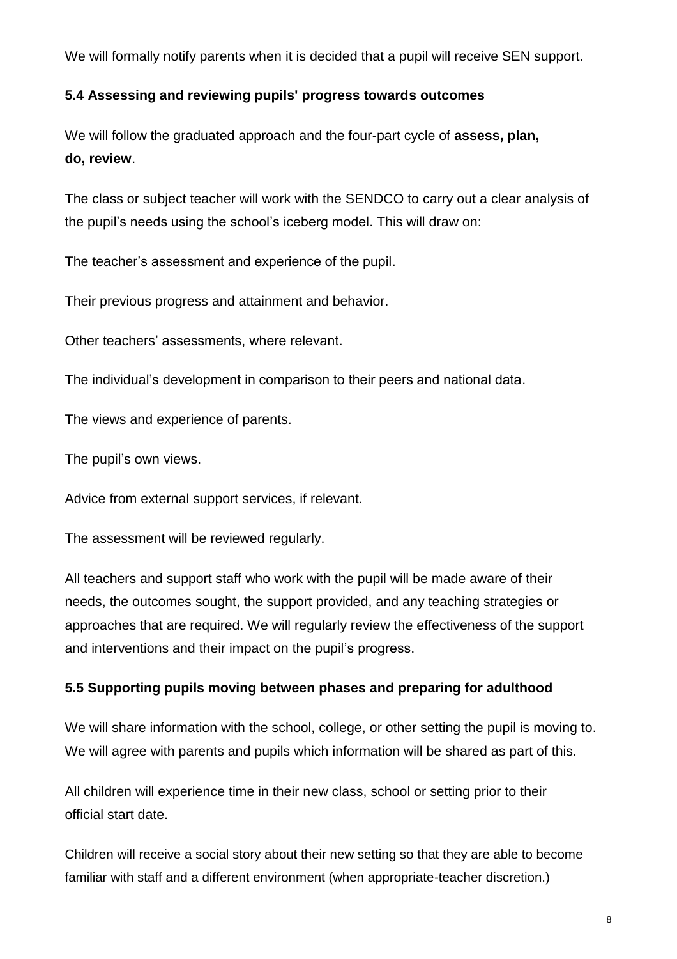We will formally notify parents when it is decided that a pupil will receive SEN support.

# **5.4 Assessing and reviewing pupils' progress towards outcomes**

We will follow the graduated approach and the four-part cycle of **assess, plan, do, review**.

The class or subject teacher will work with the SENDCO to carry out a clear analysis of the pupil's needs using the school's iceberg model. This will draw on:

The teacher's assessment and experience of the pupil.

Their previous progress and attainment and behavior.

Other teachers' assessments, where relevant.

The individual's development in comparison to their peers and national data.

The views and experience of parents.

The pupil's own views.

Advice from external support services, if relevant.

The assessment will be reviewed regularly.

All teachers and support staff who work with the pupil will be made aware of their needs, the outcomes sought, the support provided, and any teaching strategies or approaches that are required. We will regularly review the effectiveness of the support and interventions and their impact on the pupil's progress.

# **5.5 Supporting pupils moving between phases and preparing for adulthood**

We will share information with the school, college, or other setting the pupil is moving to. We will agree with parents and pupils which information will be shared as part of this.

All children will experience time in their new class, school or setting prior to their official start date.

Children will receive a social story about their new setting so that they are able to become familiar with staff and a different environment (when appropriate-teacher discretion.)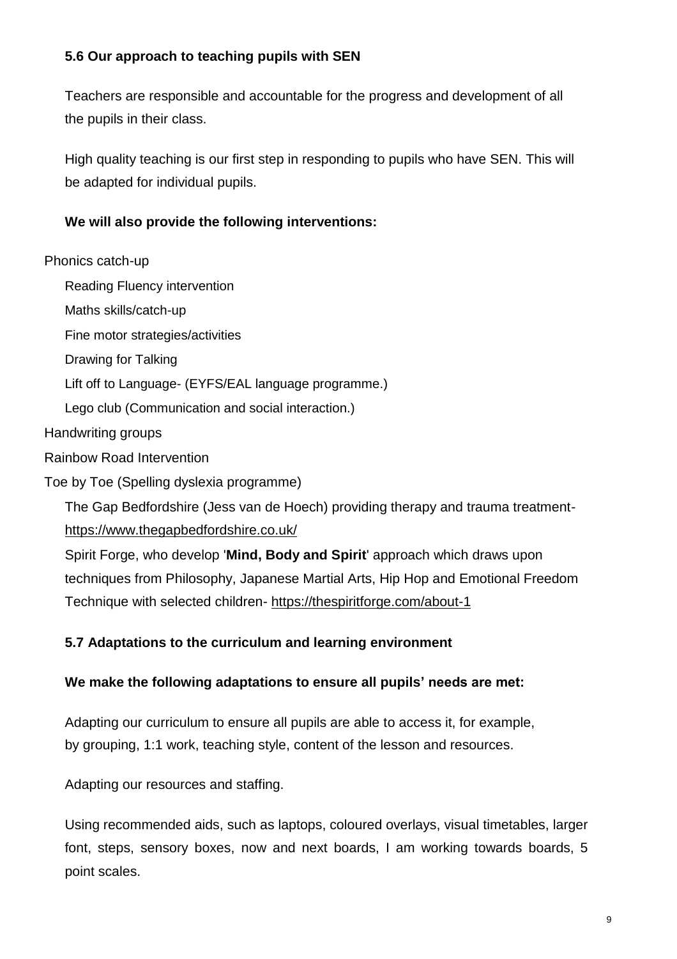## **5.6 Our approach to teaching pupils with SEN**

Teachers are responsible and accountable for the progress and development of all the pupils in their class.

High quality teaching is our first step in responding to pupils who have SEN. This will be adapted for individual pupils.

## **We will also provide the following interventions:**

#### Phonics catch-up

Reading Fluency intervention Maths skills/catch-up Fine motor strategies/activities Drawing for Talking Lift off to Language- (EYFS/EAL language programme.) Lego club (Communication and social interaction.) Handwriting groups Rainbow Road Intervention

Toe by Toe (Spelling dyslexia programme)

The Gap Bedfordshire (Jess van de Hoech) providing therapy and trauma treatment<https://www.thegapbedfordshire.co.uk/>

Spirit Forge, who develop '**Mind, Body and Spirit**' approach which draws upon techniques from Philosophy, Japanese Martial Arts, Hip Hop and Emotional Freedom Technique with selected children- <https://thespiritforge.com/about-1>

### **5.7 Adaptations to the curriculum and learning environment**

### **We make the following adaptations to ensure all pupils' needs are met:**

Adapting our curriculum to ensure all pupils are able to access it, for example, by grouping, 1:1 work, teaching style, content of the lesson and resources.

Adapting our resources and staffing.

Using recommended aids, such as laptops, coloured overlays, visual timetables, larger font, steps, sensory boxes, now and next boards, I am working towards boards, 5 point scales.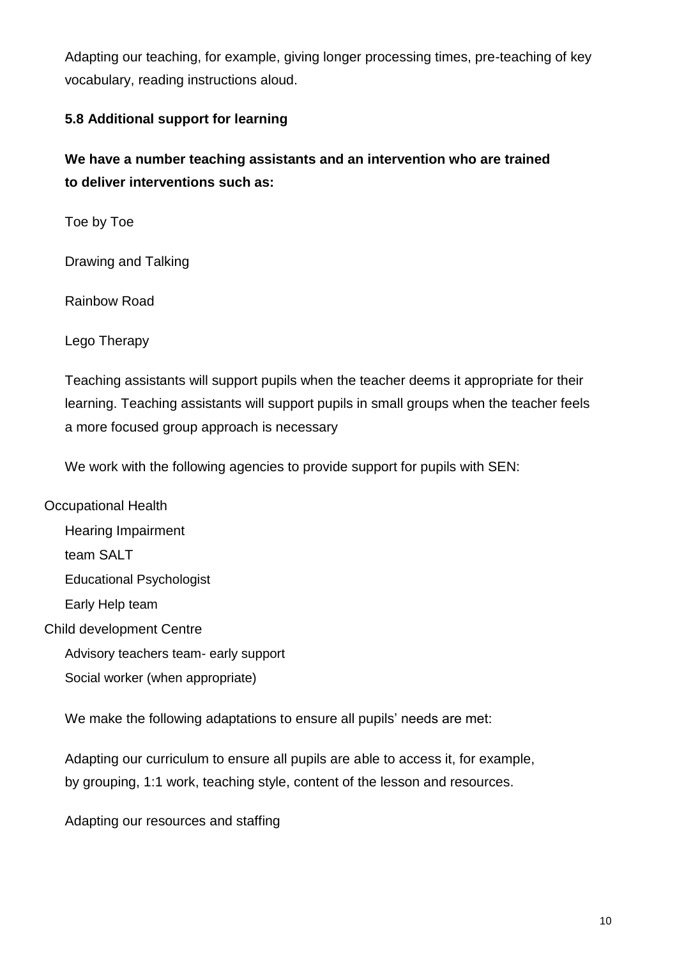Adapting our teaching, for example, giving longer processing times, pre-teaching of key vocabulary, reading instructions aloud.

## **5.8 Additional support for learning**

**We have a number teaching assistants and an intervention who are trained to deliver interventions such as:**

Toe by Toe

Drawing and Talking

Rainbow Road

Lego Therapy

Teaching assistants will support pupils when the teacher deems it appropriate for their learning. Teaching assistants will support pupils in small groups when the teacher feels a more focused group approach is necessary

We work with the following agencies to provide support for pupils with SEN:

Occupational Health Hearing Impairment team SALT Educational Psychologist Early Help team Child development Centre Advisory teachers team- early support Social worker (when appropriate)

We make the following adaptations to ensure all pupils' needs are met:

Adapting our curriculum to ensure all pupils are able to access it, for example, by grouping, 1:1 work, teaching style, content of the lesson and resources.

Adapting our resources and staffing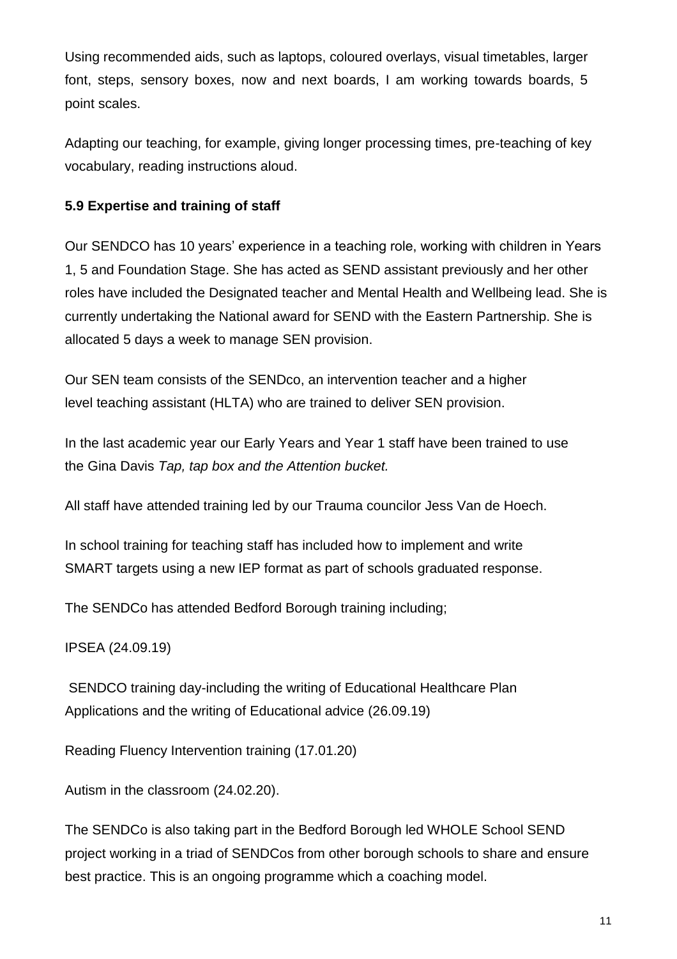Using recommended aids, such as laptops, coloured overlays, visual timetables, larger font, steps, sensory boxes, now and next boards, I am working towards boards, 5 point scales.

Adapting our teaching, for example, giving longer processing times, pre-teaching of key vocabulary, reading instructions aloud.

## **5.9 Expertise and training of staff**

Our SENDCO has 10 years' experience in a teaching role, working with children in Years 1, 5 and Foundation Stage. She has acted as SEND assistant previously and her other roles have included the Designated teacher and Mental Health and Wellbeing lead. She is currently undertaking the National award for SEND with the Eastern Partnership. She is allocated 5 days a week to manage SEN provision.

Our SEN team consists of the SENDco, an intervention teacher and a higher level teaching assistant (HLTA) who are trained to deliver SEN provision.

In the last academic year our Early Years and Year 1 staff have been trained to use the Gina Davis *Tap, tap box and the Attention bucket.*

All staff have attended training led by our Trauma councilor Jess Van de Hoech.

In school training for teaching staff has included how to implement and write SMART targets using a new IEP format as part of schools graduated response.

The SENDCo has attended Bedford Borough training including;

IPSEA (24.09.19)

SENDCO training day-including the writing of Educational Healthcare Plan Applications and the writing of Educational advice (26.09.19)

Reading Fluency Intervention training (17.01.20)

Autism in the classroom (24.02.20).

The SENDCo is also taking part in the Bedford Borough led WHOLE School SEND project working in a triad of SENDCos from other borough schools to share and ensure best practice. This is an ongoing programme which a coaching model.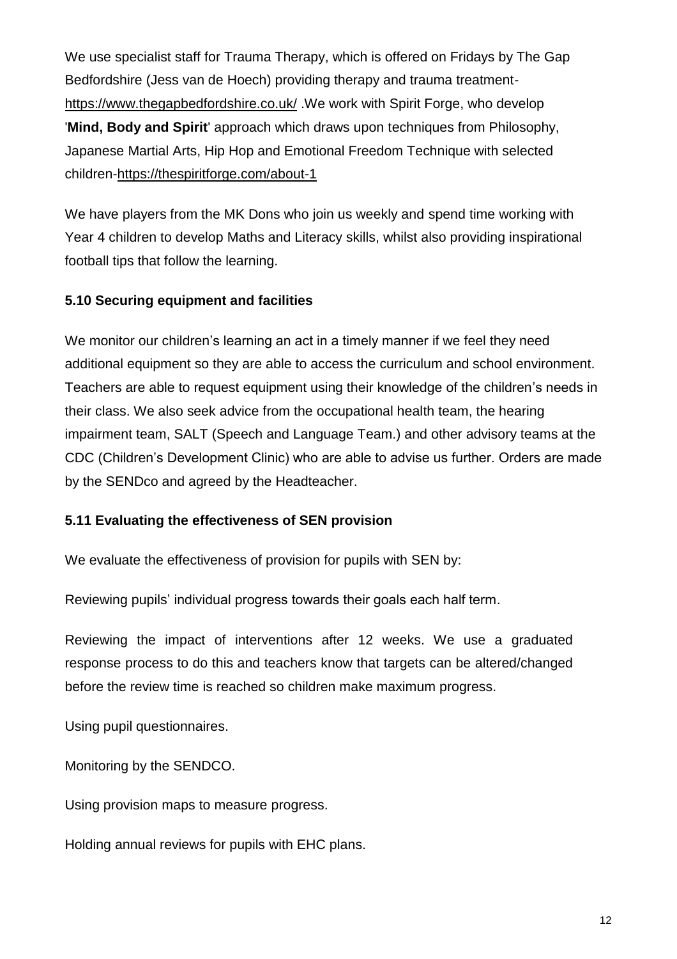We use specialist staff for Trauma Therapy, which is offered on Fridays by The Gap Bedfordshire (Jess van de Hoech) providing therapy and trauma treatment<https://www.thegapbedfordshire.co.uk/> .We work with Spirit Forge, who develop '**Mind, Body and Spirit**' approach which draws upon techniques from Philosophy, Japanese Martial Arts, Hip Hop and Emotional Freedom Technique with selected children[-https://thespiritforge.com/about-1](https://thespiritforge.com/about-1)

We have players from the MK Dons who join us weekly and spend time working with Year 4 children to develop Maths and Literacy skills, whilst also providing inspirational football tips that follow the learning.

# **5.10 Securing equipment and facilities**

We monitor our children's learning an act in a timely manner if we feel they need additional equipment so they are able to access the curriculum and school environment. Teachers are able to request equipment using their knowledge of the children's needs in their class. We also seek advice from the occupational health team, the hearing impairment team, SALT (Speech and Language Team.) and other advisory teams at the CDC (Children's Development Clinic) who are able to advise us further. Orders are made by the SENDco and agreed by the Headteacher.

### **5.11 Evaluating the effectiveness of SEN provision**

We evaluate the effectiveness of provision for pupils with SEN by:

Reviewing pupils' individual progress towards their goals each half term.

Reviewing the impact of interventions after 12 weeks. We use a graduated response process to do this and teachers know that targets can be altered/changed before the review time is reached so children make maximum progress.

Using pupil questionnaires.

Monitoring by the SENDCO.

Using provision maps to measure progress.

Holding annual reviews for pupils with EHC plans.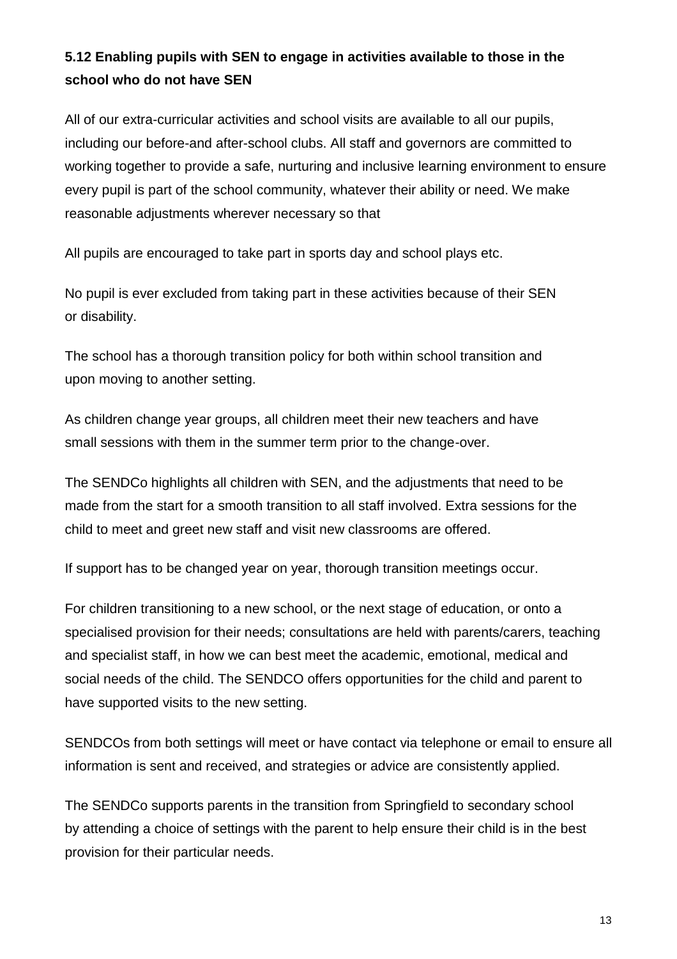# **5.12 Enabling pupils with SEN to engage in activities available to those in the school who do not have SEN**

All of our extra-curricular activities and school visits are available to all our pupils, including our before-and after-school clubs. All staff and governors are committed to working together to provide a safe, nurturing and inclusive learning environment to ensure every pupil is part of the school community, whatever their ability or need. We make reasonable adjustments wherever necessary so that

All pupils are encouraged to take part in sports day and school plays etc.

No pupil is ever excluded from taking part in these activities because of their SEN or disability.

The school has a thorough transition policy for both within school transition and upon moving to another setting.

As children change year groups, all children meet their new teachers and have small sessions with them in the summer term prior to the change-over.

The SENDCo highlights all children with SEN, and the adjustments that need to be made from the start for a smooth transition to all staff involved. Extra sessions for the child to meet and greet new staff and visit new classrooms are offered.

If support has to be changed year on year, thorough transition meetings occur.

For children transitioning to a new school, or the next stage of education, or onto a specialised provision for their needs; consultations are held with parents/carers, teaching and specialist staff, in how we can best meet the academic, emotional, medical and social needs of the child. The SENDCO offers opportunities for the child and parent to have supported visits to the new setting.

SENDCOs from both settings will meet or have contact via telephone or email to ensure all information is sent and received, and strategies or advice are consistently applied.

The SENDCo supports parents in the transition from Springfield to secondary school by attending a choice of settings with the parent to help ensure their child is in the best provision for their particular needs.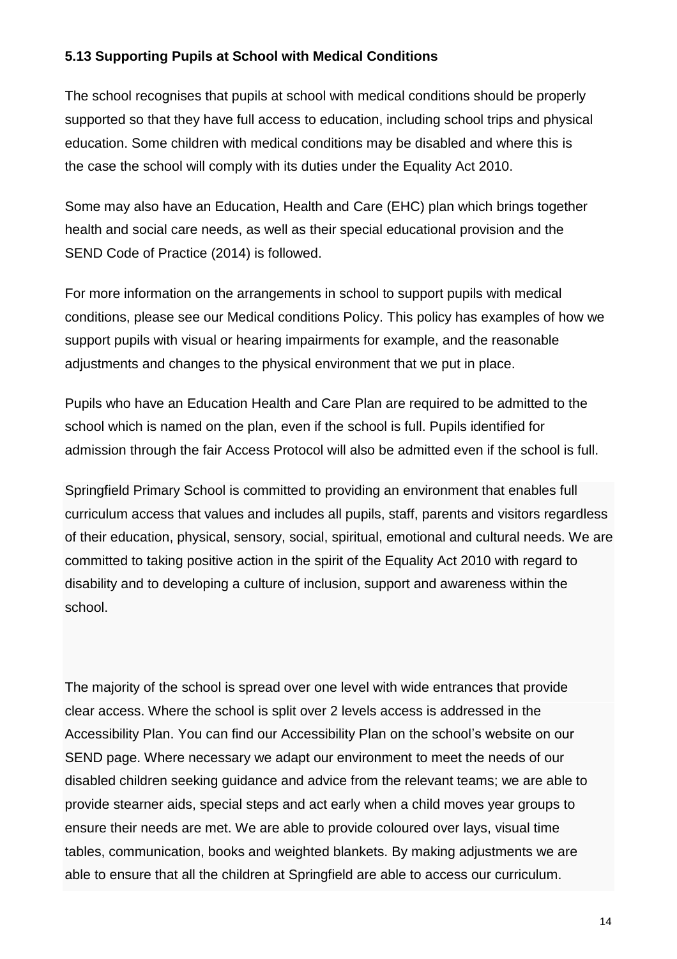## **5.13 Supporting Pupils at School with Medical Conditions**

The school recognises that pupils at school with medical conditions should be properly supported so that they have full access to education, including school trips and physical education. Some children with medical conditions may be disabled and where this is the case the school will comply with its duties under the Equality Act 2010.

Some may also have an Education, Health and Care (EHC) plan which brings together health and social care needs, as well as their special educational provision and the SEND Code of Practice (2014) is followed.

For more information on the arrangements in school to support pupils with medical conditions, please see our Medical conditions Policy. This policy has examples of how we support pupils with visual or hearing impairments for example, and the reasonable adjustments and changes to the physical environment that we put in place.

Pupils who have an Education Health and Care Plan are required to be admitted to the school which is named on the plan, even if the school is full. Pupils identified for admission through the fair Access Protocol will also be admitted even if the school is full.

Springfield Primary School is committed to providing an environment that enables full curriculum access that values and includes all pupils, staff, parents and visitors regardless of their education, physical, sensory, social, spiritual, emotional and cultural needs. We are committed to taking positive action in the spirit of the Equality Act 2010 with regard to disability and to developing a culture of inclusion, support and awareness within the school.

The majority of the school is spread over one level with wide entrances that provide clear access. Where the school is split over 2 levels access is addressed in the Accessibility Plan. You can find our Accessibility Plan on the school's website on our SEND page. Where necessary we adapt our environment to meet the needs of our disabled children seeking guidance and advice from the relevant teams; we are able to provide stearner aids, special steps and act early when a child moves year groups to ensure their needs are met. We are able to provide coloured over lays, visual time tables, communication, books and weighted blankets. By making adjustments we are able to ensure that all the children at Springfield are able to access our curriculum.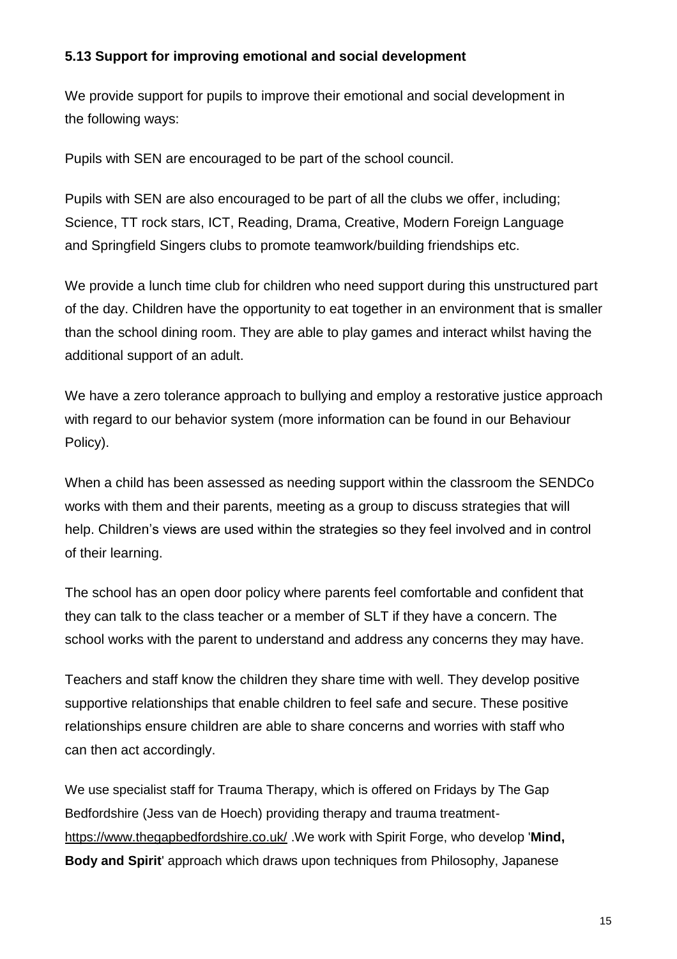## **5.13 Support for improving emotional and social development**

We provide support for pupils to improve their emotional and social development in the following ways:

Pupils with SEN are encouraged to be part of the school council.

Pupils with SEN are also encouraged to be part of all the clubs we offer, including; Science, TT rock stars, ICT, Reading, Drama, Creative, Modern Foreign Language and Springfield Singers clubs to promote teamwork/building friendships etc.

We provide a lunch time club for children who need support during this unstructured part of the day. Children have the opportunity to eat together in an environment that is smaller than the school dining room. They are able to play games and interact whilst having the additional support of an adult.

We have a zero tolerance approach to bullying and employ a restorative justice approach with regard to our behavior system (more information can be found in our Behaviour Policy).

When a child has been assessed as needing support within the classroom the SENDCo works with them and their parents, meeting as a group to discuss strategies that will help. Children's views are used within the strategies so they feel involved and in control of their learning.

The school has an open door policy where parents feel comfortable and confident that they can talk to the class teacher or a member of SLT if they have a concern. The school works with the parent to understand and address any concerns they may have.

Teachers and staff know the children they share time with well. They develop positive supportive relationships that enable children to feel safe and secure. These positive relationships ensure children are able to share concerns and worries with staff who can then act accordingly.

We use specialist staff for Trauma Therapy, which is offered on Fridays by The Gap Bedfordshire (Jess van de Hoech) providing therapy and trauma treatment<https://www.thegapbedfordshire.co.uk/> .We work with Spirit Forge, who develop '**Mind, Body and Spirit**' approach which draws upon techniques from Philosophy, Japanese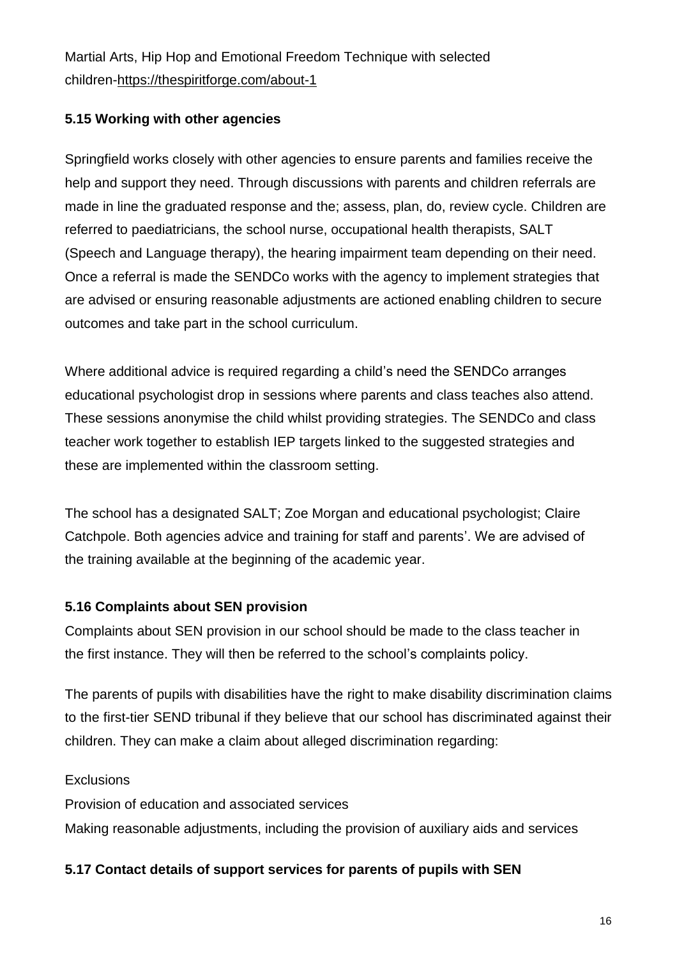Martial Arts, Hip Hop and Emotional Freedom Technique with selected children[-https://thespiritforge.com/about-1](https://thespiritforge.com/about-1)

## **5.15 Working with other agencies**

Springfield works closely with other agencies to ensure parents and families receive the help and support they need. Through discussions with parents and children referrals are made in line the graduated response and the; assess, plan, do, review cycle. Children are referred to paediatricians, the school nurse, occupational health therapists, SALT (Speech and Language therapy), the hearing impairment team depending on their need. Once a referral is made the SENDCo works with the agency to implement strategies that are advised or ensuring reasonable adjustments are actioned enabling children to secure outcomes and take part in the school curriculum.

Where additional advice is required regarding a child's need the SENDCo arranges educational psychologist drop in sessions where parents and class teaches also attend. These sessions anonymise the child whilst providing strategies. The SENDCo and class teacher work together to establish IEP targets linked to the suggested strategies and these are implemented within the classroom setting.

The school has a designated SALT; Zoe Morgan and educational psychologist; Claire Catchpole. Both agencies advice and training for staff and parents'. We are advised of the training available at the beginning of the academic year.

### **5.16 Complaints about SEN provision**

Complaints about SEN provision in our school should be made to the class teacher in the first instance. They will then be referred to the school's complaints policy.

The parents of pupils with disabilities have the right to make disability discrimination claims to the first-tier SEND tribunal if they believe that our school has discriminated against their children. They can make a claim about alleged discrimination regarding:

### **Exclusions**

Provision of education and associated services

Making reasonable adjustments, including the provision of auxiliary aids and services

### **5.17 Contact details of support services for parents of pupils with SEN**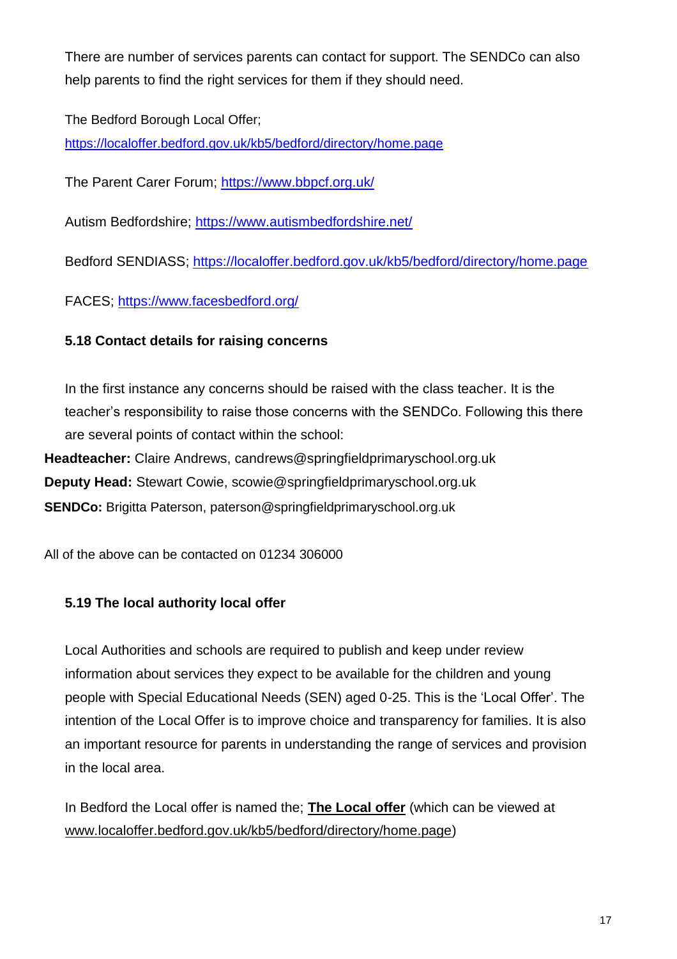There are number of services parents can contact for support. The SENDCo can also help parents to find the right services for them if they should need.

The Bedford Borough Local Offer;

<https://localoffer.bedford.gov.uk/kb5/bedford/directory/home.page>

The Parent Carer Forum; <https://www.bbpcf.org.uk/>

Autism Bedfordshire; <https://www.autismbedfordshire.net/>

Bedford SENDIASS; <https://localoffer.bedford.gov.uk/kb5/bedford/directory/home.page>

FACES; <https://www.facesbedford.org/>

## **5.18 Contact details for raising concerns**

In the first instance any concerns should be raised with the class teacher. It is the teacher's responsibility to raise those concerns with the SENDCo. Following this there are several points of contact within the school:

**Headteacher:** Claire Andrews, candrews@springfieldprimaryschool.org.uk **Deputy Head:** Stewart Cowie, scowie@springfieldprimaryschool.org.uk **SENDCo:** Brigitta Paterson, paterson@springfieldprimaryschool.org.uk

All of the above can be contacted on 01234 306000

# **5.19 The local authority local offer**

Local Authorities and schools are required to publish and keep under review information about services they expect to be available for the children and young people with Special Educational Needs (SEN) aged 0-25. This is the 'Local Offer'. The intention of the Local Offer is to improve choice and transparency for families. It is also an important resource for parents in understanding the range of services and provision in the local area.

In Bedford the Local offer is named the; **The Local offer** (which can be viewed at [www.localoffer.bedford.gov.uk/kb5/bedford/directory/home.page\)](http://www.localoffer.bedford.gov.uk/kb5/bedford/directory/home.page)